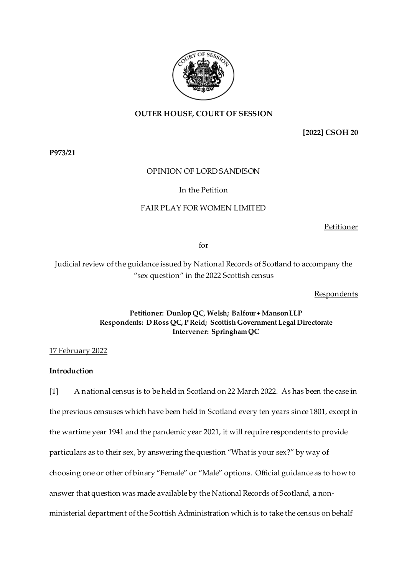

## **OUTER HOUSE, COURT OF SESSION**

**[2022] CSOH 20**

**P973/21**

### OPINION OF LORD SANDISON

### In the Petition

### FAIR PLAY FOR WOMEN LIMITED

Petitioner

for

Judicial review of the guidance issued by National Records of Scotland to accompany the "sex question" in the 2022 Scottish census

**Respondents** 

## **Petitioner: Dunlop QC, Welsh; Balfour + Manson LLP Respondents: D Ross QC, P Reid; Scottish Government Legal Directorate Intervener: SpringhamQC**

17 February 2022

# **Introduction**

[1] A national census is to be held in Scotland on 22 March 2022. As has been the case in the previous censuses which have been held in Scotland every ten years since 1801, except in the wartime year 1941 and the pandemic year 2021, it will require respondents to provide particulars as to their sex, by answering the question "What is your sex?" by way of choosing one or other of binary "Female" or "Male" options. Official guidance as to how to answer that question was made available by the National Records of Scotland, a nonministerial department of the Scottish Administration which is to take the census on behalf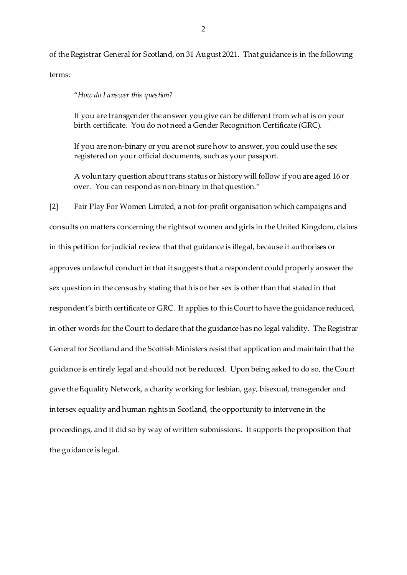of the Registrar General for Scotland, on 31 August 2021. That guidance is in the following terms:

"*How do I answer this question?*

If you are transgender the answer you give can be different from what is on your birth certificate. You do not need a Gender Recognition Certificate (GRC).

If you are non-binary or you are not sure how to answer, you could use the sex registered on your official documents, such as your passport.

A voluntary question about trans status or history will follow if you are aged 16 or over. You can respond as non-binary in that question."

[2] Fair Play For Women Limited, a not-for-profit organisation which campaigns and consults on matters concerning the rights of women and girls in the United Kingdom, claims in this petition for judicial review that that guidance is illegal, because it authorises or approves unlawful conduct in that it suggests that a respondent could properly answer the sex question in the census by stating that his or her sex is other than that stated in that respondent's birth certificate or GRC. It applies to this Court to have the guidance reduced, in other words for the Court to declare that the guidance has no legal validity. The Registrar General for Scotland and the Scottish Ministers resist that application and maintain that the guidance is entirely legal and should not be reduced. Upon being asked to do so, the Court gave the Equality Network, a charity working for lesbian, gay, bisexual, transgender and intersex equality and human rights in Scotland, the opportunity to intervene in the proceedings, and it did so by way of written submissions. It supports the proposition that the guidance is legal.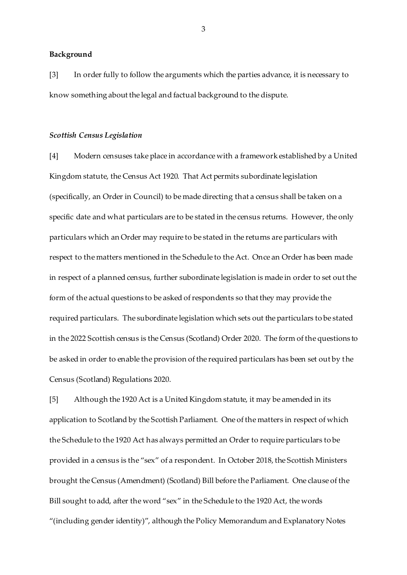#### **Background**

[3] In order fully to follow the arguments which the parties advance, it is necessary to know something about the legal and factual background to the dispute.

#### *Scottish Census Legislation*

[4] Modern censuses take place in accordance with a framework established by a United Kingdom statute, the Census Act 1920. That Act permits subordinate legislation (specifically, an Order in Council) to be made directing that a census shall be taken on a specific date and what particulars are to be stated in the census returns. However, the only particulars which an Order may require to be stated in the returns are particulars with respect to the matters mentioned in the Schedule to the Act. Once an Order has been made in respect of a planned census, further subordinate legislation is made in order to set out the form of the actual questions to be asked of respondents so that they may provide the required particulars. The subordinate legislation which sets out the particulars to be stated in the 2022 Scottish census is the Census (Scotland) Order 2020. The form of the questions to be asked in order to enable the provision of the required particulars has been set out by the Census (Scotland) Regulations 2020.

[5] Although the 1920 Act is a United Kingdom statute, it may be amended in its application to Scotland by the Scottish Parliament. One of the matters in respect of which the Schedule to the 1920 Act has always permitted an Order to require particulars to be provided in a census is the "sex" of a respondent. In October 2018, the Scottish Ministers brought the Census (Amendment) (Scotland) Bill before the Parliament. One clause of the Bill sought to add, after the word "sex" in the Schedule to the 1920 Act, the words "(including gender identity)", although the Policy Memorandum and Explanatory Notes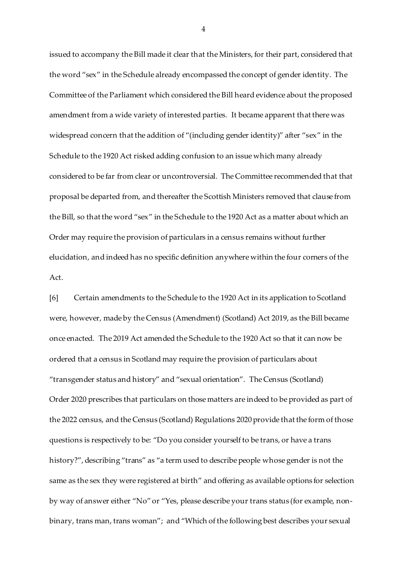issued to accompany the Bill made it clear that the Ministers, for their part, considered that the word "sex" in the Schedule already encompassed the concept of gender identity. The Committee of the Parliament which considered the Bill heard evidence about the proposed amendment from a wide variety of interested parties. It became apparent that there was widespread concern that the addition of "(including gender identity)" after "sex" in the Schedule to the 1920 Act risked adding confusion to an issue which many already considered to be far from clear or uncontroversial. The Committee recommended that that proposal be departed from, and thereafter the Scottish Ministers removed that clause from the Bill, so that the word "sex" in the Schedule to the 1920 Act as a matter about which an Order may require the provision of particulars in a census remains without further elucidation, and indeed has no specific definition anywhere within the four corners of the Act.

[6] Certain amendments to the Schedule to the 1920 Act in its application to Scotland were, however, made by the Census (Amendment) (Scotland) Act 2019, as the Bill became once enacted. The 2019 Act amended the Schedule to the 1920 Act so that it can now be ordered that a census in Scotland may require the provision of particulars about "transgender status and history" and "sexual orientation". The Census (Scotland) Order 2020 prescribes that particulars on those matters are indeed to be provided as part of the 2022 census, and the Census (Scotland) Regulations 2020 provide that the form of those questions is respectively to be: "Do you consider yourself to be trans, or have a trans history?", describing "trans" as "a term used to describe people whose gender is not the same as the sex they were registered at birth" and offering as available options for selection by way of answer either "No" or "Yes, please describe your trans status (for example, nonbinary, trans man, trans woman"; and "Which of the following best describes your sexual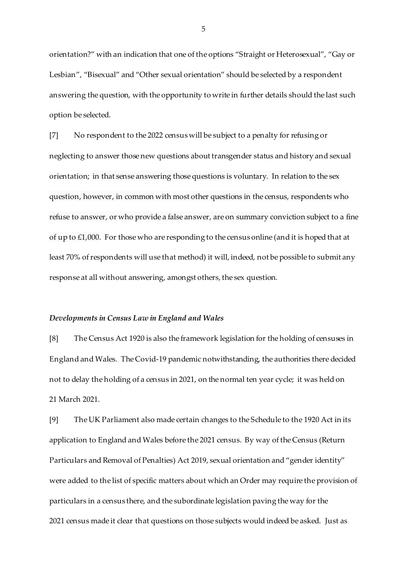orientation?" with an indication that one of the options "Straight or Heterosexual", "Gay or Lesbian", "Bisexual" and "Other sexual orientation" should be selected by a respondent answering the question, with the opportunity to write in further details should the last such option be selected.

[7] No respondent to the 2022 census will be subject to a penalty for refusing or neglecting to answer those new questions about transgender status and history and sexual orientation; in that sense answering those questions is voluntary. In relation to the sex question, however, in common with most other questions in the census, respondents who refuse to answer, or who provide a false answer, are on summary conviction subject to a fine of up to  $£1,000$ . For those who are responding to the census online (and it is hoped that at least 70% of respondents will use that method) it will, indeed, not be possible to submit any response at all without answering, amongst others, the sex question.

#### *Developments in Census Law in England and Wales*

[8] The Census Act 1920 is also the framework legislation for the holding of censuses in England and Wales. The Covid-19 pandemic notwithstanding, the authorities there decided not to delay the holding of a census in 2021, on the normal ten year cycle; it was held on 21 March 2021.

[9] The UK Parliament also made certain changes to the Schedule to the 1920 Act in its application to England and Wales before the 2021 census. By way of the Census (Return Particulars and Removal of Penalties) Act 2019, sexual orientation and "gender identity" were added to the list of specific matters about which an Order may require the provision of particulars in a census there, and the subordinate legislation paving the way for the 2021 census made it clear that questions on those subjects would indeed be asked. Just as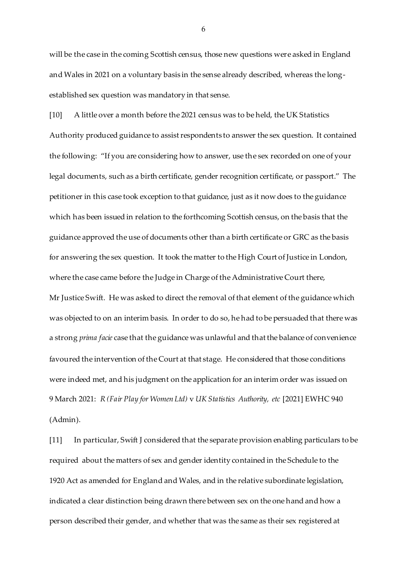will be the case in the coming Scottish census, those new questions were asked in England and Wales in 2021 on a voluntary basis in the sense already described, whereas the longestablished sex question was mandatory in that sense.

[10] A little over a month before the 2021 census was to be held, the UK Statistics Authority produced guidance to assist respondents to answer the sex question. It contained the following: "If you are considering how to answer, use the sex recorded on one of your legal documents, such as a birth certificate, gender recognition certificate, or passport." The petitioner in this case took exception to that guidance, just as it now does to the guidance which has been issued in relation to the forthcoming Scottish census, on the basis that the guidance approved the use of documents other than a birth certificate or GRC as the basis for answering the sex question. It took the matter to the High Court of Justice in London, where the case came before the Judge in Charge of the Administrative Court there, Mr Justice Swift. He was asked to direct the removal of that element of the guidance which was objected to on an interim basis. In order to do so, he had to be persuaded that there was a strong *prima facie* case that the guidance was unlawful and that the balance of convenience favoured the intervention of the Court at that stage. He considered that those conditions were indeed met, and his judgment on the application for an interim order was issued on 9 March 2021: *R (Fair Play for Women Ltd)* v *UK Statistics Authority, etc* [2021] EWHC 940 (Admin).

[11] In particular, Swift J considered that the separate provision enabling particulars to be required about the matters of sex and gender identity contained in the Schedule to the 1920 Act as amended for England and Wales, and in the relative subordinate legislation, indicated a clear distinction being drawn there between sex on the one hand and how a person described their gender, and whether that was the same as their sex registered at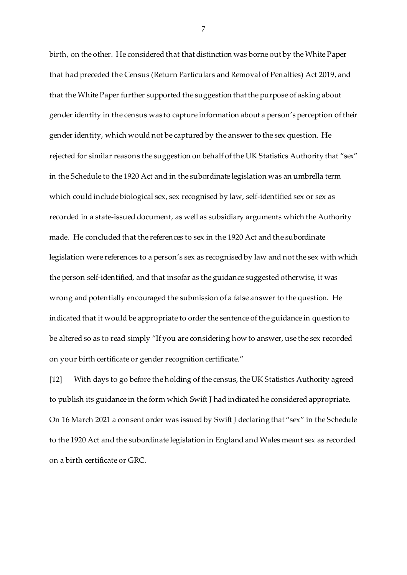birth, on the other. He considered that that distinction was borne out by the White Paper that had preceded the Census (Return Particulars and Removal of Penalties) Act 2019, and that the White Paper further supported the suggestion that the purpose of asking about gender identity in the census was to capture information about a person's perception of their gender identity, which would not be captured by the answer to the sex question. He rejected for similar reasons the suggestion on behalf of the UK Statistics Authority that "sex" in the Schedule to the 1920 Act and in the subordinate legislation was an umbrella term which could include biological sex, sex recognised by law, self-identified sex or sex as recorded in a state-issued document, as well as subsidiary arguments which the Authority made. He concluded that the references to sex in the 1920 Act and the subordinate legislation were references to a person's sex as recognised by law and not the sex with which the person self-identified, and that insofar as the guidance suggested otherwise, it was wrong and potentially encouraged the submission of a false answer to the question. He indicated that it would be appropriate to order the sentence of the guidance in question to be altered so as to read simply "If you are considering how to answer, use the sex recorded on your birth certificate or gender recognition certificate."

[12] With days to go before the holding of the census, the UK Statistics Authority agreed to publish its guidance in the form which Swift J had indicated he considered appropriate. On 16 March 2021 a consent order was issued by Swift J declaring that "sex" in the Schedule to the 1920 Act and the subordinate legislation in England and Wales meant sex as recorded on a birth certificate or GRC.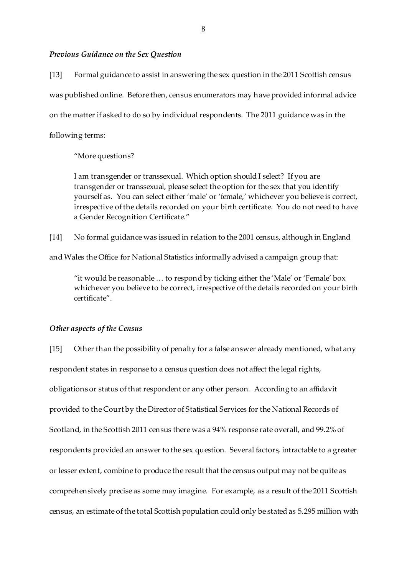### *Previous Guidance on the Sex Question*

[13] Formal guidance to assist in answering the sex question in the 2011 Scottish census was published online. Before then, census enumerators may have provided informal advice on the matter if asked to do so by individual respondents. The 2011 guidance was in the following terms:

"More questions?

I am transgender or transsexual. Which option should I select? If you are transgender or transsexual, please select the option for the sex that you identify yourself as. You can select either 'male' or 'female,' whichever you believe is correct, irrespective of the details recorded on your birth certificate. You do not need to have a Gender Recognition Certificate."

[14] No formal guidance was issued in relation to the 2001 census, although in England

and Wales the Office for National Statistics informally advised a campaign group that:

"it would be reasonable … to respond by ticking either the 'Male' or 'Female' box whichever you believe to be correct, irrespective of the details recorded on your birth certificate".

### *Other aspects of the Census*

[15] Other than the possibility of penalty for a false answer already mentioned, what any respondent states in response to a census question does not affect the legal rights, obligations or status of that respondent or any other person. According to an affidavit provided to the Court by the Director of Statistical Services for the National Records of Scotland, in the Scottish 2011 census there was a 94% response rate overall, and 99.2% of respondents provided an answer to the sex question. Several factors, intractable to a greater or lesser extent, combine to produce the result that the census output may not be quite as comprehensively precise as some may imagine. For example, as a result of the 2011 Scottish census, an estimate of the total Scottish population could only be stated as 5.295 million with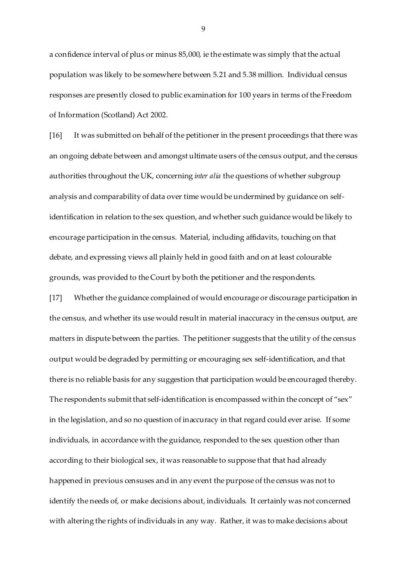a confidence interval of plus or minus 85,000, ie the estimate was simply that the actual population was likely to be somewhere between 5.21 and 5.38 million. Individual census responses are presently closed to public examination for 100 years in terms of the Freedom of Information (Scotland) Act 2002.

[16] It was submitted on behalf of the petitioner in the present proceedings that there was an ongoing debate between and amongst ultimate users of the census output, and the census authorities throughout the UK, concerning *inter alia* the questions of whether subgroup analysis and comparability of data over time would be undermined by guidance on selfidentification in relation to the sex question, and whether such guidance would be likely to encourage participation in the census. Material, including affidavits, touching on that debate, and expressing views all plainly held in good faith and on at least colourable grounds, was provided to the Court by both the petitioner and the respondents.

[17] Whether the guidance complained of would encourage or discourage participation in the census, and whether its use would result in material inaccuracy in the census output, are matters in dispute between the parties. The petitioner suggests that the utility of the census output would be degraded by permitting or encouraging sex self-identification, and that there is no reliable basis for any suggestion that participation would be encouraged thereby. The respondents submit that self-identification is encompassed within the concept of "sex" in the legislation, and so no question of inaccuracy in that regard could ever arise. If some individuals, in accordance with the guidance, responded to the sex question other than according to their biological sex, it was reasonable to suppose that that had already happened in previous censuses and in any event the purpose of the census was not to identify the needs of, or make decisions about, individuals. It certainly was not concerned with altering the rights of individuals in any way. Rather, it was to make decisions about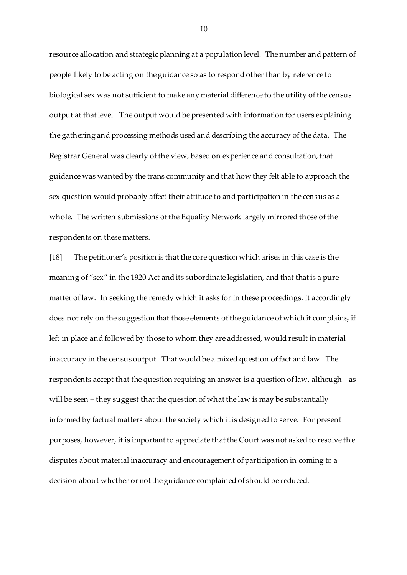resource allocation and strategic planning at a population level. The number and pattern of people likely to be acting on the guidance so as to respond other than by reference to biological sex was not sufficient to make any material difference to the utility of the census output at that level. The output would be presented with information for users explaining the gathering and processing methods used and describing the accuracy of the data. The Registrar General was clearly of the view, based on experience and consultation, that guidance was wanted by the trans community and that how they felt able to approach the sex question would probably affect their attitude to and participation in the census as a whole. The written submissions of the Equality Network largely mirrored those of the respondents on these matters.

[18] The petitioner's position is that the core question which arises in this case is the meaning of "sex" in the 1920 Act and its subordinate legislation, and that that is a pure matter of law. In seeking the remedy which it asks for in these proceedings, it accordingly does not rely on the suggestion that those elements of the guidance of which it complains, if left in place and followed by those to whom they are addressed, would result in material inaccuracy in the census output. That would be a mixed question of fact and law. The respondents accept that the question requiring an answer is a question of law, although – as will be seen – they suggest that the question of what the law is may be substantially informed by factual matters about the society which it is designed to serve. For present purposes, however, it is important to appreciate that the Court was not asked to resolve th e disputes about material inaccuracy and encouragement of participation in coming to a decision about whether or not the guidance complained of should be reduced.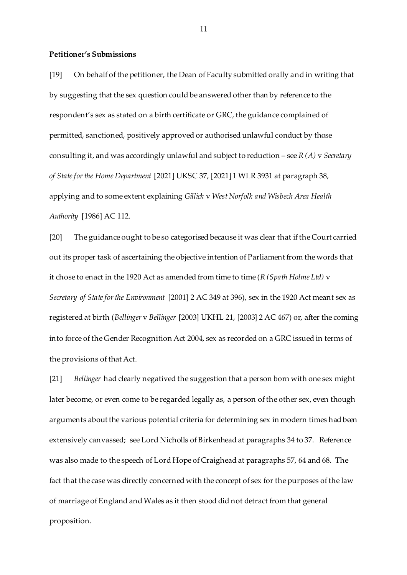#### **Petitioner's Submissions**

[19] On behalf of the petitioner, the Dean of Faculty submitted orally and in writing that by suggesting that the sex question could be answered other than by reference to the respondent's sex as stated on a birth certificate or GRC, the guidance complained of permitted, sanctioned, positively approved or authorised unlawful conduct by those consulting it, and was accordingly unlawful and subject to reduction – see *R (A)* v *Secretary of State for the Home Department* [2021] UKSC 37, [2021] 1 WLR 3931 at paragraph 38, applying and to some extent explaining *Gillick* v *West Norfolk and Wisbech Area Health Authority* [1986] AC 112.

[20] The guidance ought to be so categorised because it was clear that if the Court carried out its proper task of ascertaining the objective intention of Parliament from the words that it chose to enact in the 1920 Act as amended from time to time (*R (Spath Holme Ltd)* v *Secretary of State for the Environment* [2001] 2 AC 349 at 396), sex in the 1920 Act meant sex as registered at birth (*Bellinger* v *Bellinger* [2003] UKHL 21, [2003] 2 AC 467) or, after the coming into force of the Gender Recognition Act 2004, sex as recorded on a GRC issued in terms of the provisions of that Act.

[21] *Bellinger* had clearly negatived the suggestion that a person born with one sex might later become, or even come to be regarded legally as, a person of the other sex, even though arguments about the various potential criteria for determining sex in modern times had been extensively canvassed; see Lord Nicholls of Birkenhead at paragraphs 34 to 37. Reference was also made to the speech of Lord Hope of Craighead at paragraphs 57, 64 and 68. The fact that the case was directly concerned with the concept of sex for the purposes of the law of marriage of England and Wales as it then stood did not detract from that general proposition.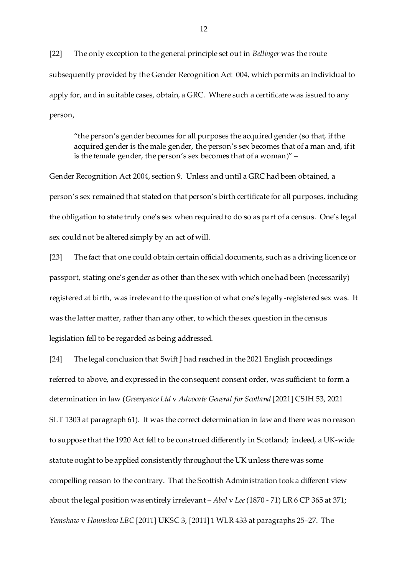[22] The only exception to the general principle set out in *Bellinger* was the route subsequently provided by the Gender Recognition Act 004, which permits an individual to apply for, and in suitable cases, obtain, a GRC. Where such a certificate was issued to any person,

"the person's gender becomes for all purposes the acquired gender (so that, if the acquired gender is the male gender, the person's sex becomes that of a man and, if it is the female gender, the person's sex becomes that of a woman)" –

Gender Recognition Act 2004, section 9. Unless and until a GRC had been obtained, a person's sex remained that stated on that person's birth certificate for all purposes, including the obligation to state truly one's sex when required to do so as part of a census. One's legal sex could not be altered simply by an act of will.

[23] The fact that one could obtain certain official documents, such as a driving licence or passport, stating one's gender as other than the sex with which one had been (necessarily) registered at birth, was irrelevant to the question of what one's legally-registered sex was. It was the latter matter, rather than any other, to which the sex question in the census legislation fell to be regarded as being addressed.

[24] The legal conclusion that Swift J had reached in the 2021 English proceedings referred to above, and expressed in the consequent consent order, was sufficient to form a determination in law (*Greenpeace Ltd* v *Advocate General for Scotland* [2021] CSIH 53, 2021 SLT 1303 at paragraph 61). It was the correct determination in law and there was no reason to suppose that the 1920 Act fell to be construed differently in Scotland; indeed, a UK-wide statute ought to be applied consistently throughout the UK unless there was some compelling reason to the contrary. That the Scottish Administration took a different view about the legal position was entirely irrelevant – *Abel* v *Lee*(1870 - 71) LR 6 CP 365 at 371; *Yemshaw* v *Hounslow LBC* [2011] UKSC 3, [2011] 1 WLR 433 at paragraphs 25–27. The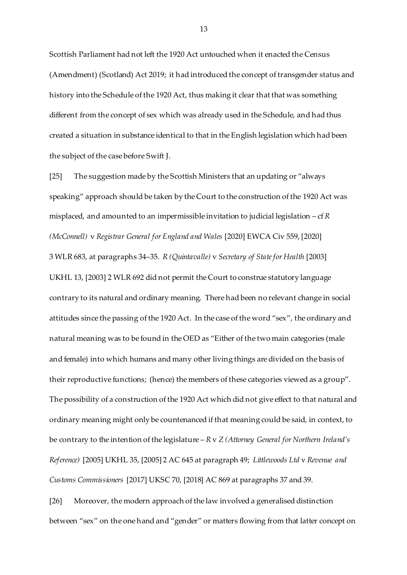Scottish Parliament had not left the 1920 Act untouched when it enacted the Census (Amendment) (Scotland) Act 2019; it had introduced the concept of transgender status and history into the Schedule of the 1920 Act, thus making it clear that that was something different from the concept of sex which was already used in the Schedule, and had thus created a situation in substance identical to that in the English legislation which had been the subject of the case before Swift J.

[25] The suggestion made by the Scottish Ministers that an updating or "always speaking" approach should be taken by the Court to the construction of the 1920 Act was misplaced, and amounted to an impermissible invitation to judicial legislation – cf*R (McConnell)* v *Registrar General for England and Wales* [2020] EWCA Civ 559, [2020] 3 WLR 683, at paragraphs 34–35. *R (Quintavalle)* v *Secretary of State for Health* [2003] UKHL 13, [2003] 2 WLR 692 did not permit the Court to construe statutory language contrary to its natural and ordinary meaning. There had been no relevant change in social attitudes since the passing of the 1920 Act. In the case of the word "sex", the ordinary and natural meaning was to be found in the OED as "Either of the two main categories (male and female) into which humans and many other living things are divided on the basis of their reproductive functions; (hence) the members of these categories viewed as a group". The possibility of a construction of the 1920 Act which did not give effect to that natural and ordinary meaning might only be countenanced if that meaning could be said, in context, to be contrary to the intention of the legislature – *R* v *Z (Attorney General for Northern Ireland's Reference)* [2005] UKHL 35, [2005] 2 AC 645 at paragraph 49; *Littlewoods Ltd* v *Revenue and Customs Commissioners* [2017] UKSC 70, [2018] AC 869 at paragraphs 37 and 39.

[26] Moreover, the modern approach of the law involved a generalised distinction between "sex" on the one hand and "gender" or matters flowing from that latter concept on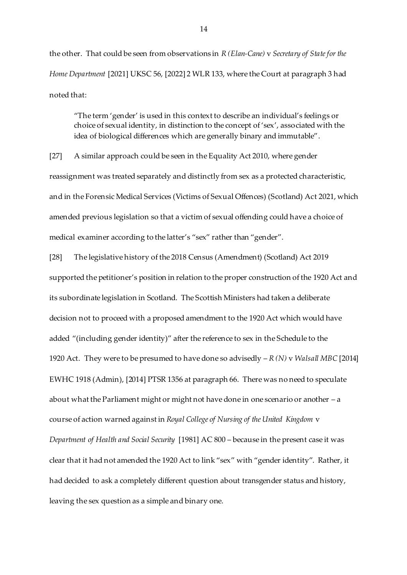the other. That could be seen from observations in *R (Elan-Cane)* v *Secretary of State for the Home Department* [2021] UKSC 56, [2022] 2 WLR 133, where the Court at paragraph 3 had noted that:

"The term 'gender' is used in this context to describe an individual's feelings or choice of sexual identity, in distinction to the concept of 'sex', associated with the idea of biological differences which are generally binary and immutable".

[27] A similar approach could be seen in the Equality Act 2010, where gender reassignment was treated separately and distinctly from sex as a protected characteristic, and in the Forensic Medical Services (Victims of Sexual Offences) (Scotland) Act 2021, which amended previous legislation so that a victim of sexual offending could have a choice of medical examiner according to the latter's "sex" rather than "gender".

[28] The legislative history of the 2018 Census (Amendment) (Scotland) Act 2019 supported the petitioner's position in relation to the proper construction of the 1920 Act and its subordinate legislation in Scotland. The Scottish Ministers had taken a deliberate decision not to proceed with a proposed amendment to the 1920 Act which would have added "(including gender identity)" after the reference to sex in the Schedule to the 1920 Act. They were to be presumed to have done so advisedly – *R (N)* v *Walsall MBC* [2014] EWHC 1918 (Admin), [2014] PTSR 1356 at paragraph 66. There was no need to speculate about what the Parliament might or might not have done in one scenario or another – a course of action warned against in *Royal College of Nursing of the United Kingdom* v *Department of Health and Social Security* [1981] AC 800 – because in the present case it was clear that it had not amended the 1920 Act to link "sex" with "gender identity". Rather, it had decided to ask a completely different question about transgender status and history, leaving the sex question as a simple and binary one.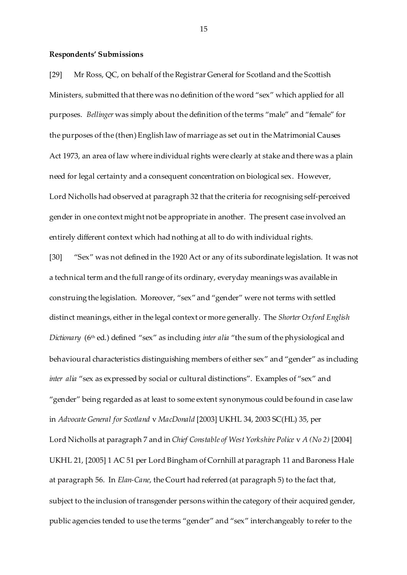#### **Respondents' Submissions**

[29] Mr Ross, QC, on behalf of the Registrar General for Scotland and the Scottish Ministers, submitted that there was no definition of the word "sex" which applied for all purposes. *Bellinger* was simply about the definition of the terms "male" and "female" for the purposes of the (then) English law of marriage as set out in the Matrimonial Causes Act 1973, an area of law where individual rights were clearly at stake and there was a plain need for legal certainty and a consequent concentration on biological sex. However, Lord Nicholls had observed at paragraph 32 that the criteria for recognising self-perceived gender in one context might not be appropriate in another. The present case involved an entirely different context which had nothing at all to do with individual rights.

[30] "Sex" was not defined in the 1920 Act or any of its subordinate legislation. It was not a technical term and the full range of its ordinary, everyday meanings was available in construing the legislation. Moreover, "sex" and "gender" were not terms with settled distinct meanings, either in the legal context or more generally. The *Shorter Oxford English Dictionary* (6<sup>th</sup> ed.) defined "sex" as including *inter alia* "the sum of the physiological and behavioural characteristics distinguishing members of either sex" and "gender" as including *inter alia* "sex as expressed by social or cultural distinctions". Examples of "sex" and "gender" being regarded as at least to some extent synonymous could be found in case law in *Advocate General for Scotland* v *MacDonald* [2003] UKHL 34, 2003 SC(HL) 35, per Lord Nicholls at paragraph 7 and in *Chief Constable of West Yorkshire Police* v *A (No 2)* [2004] UKHL 21, [2005] 1 AC 51 per Lord Bingham of Cornhill at paragraph 11 and Baroness Hale at paragraph 56. In *Elan-Cane*, the Court had referred (at paragraph 5) to the fact that, subject to the inclusion of transgender persons within the category of their acquired gender, public agencies tended to use the terms "gender" and "sex" interchangeably to refer to the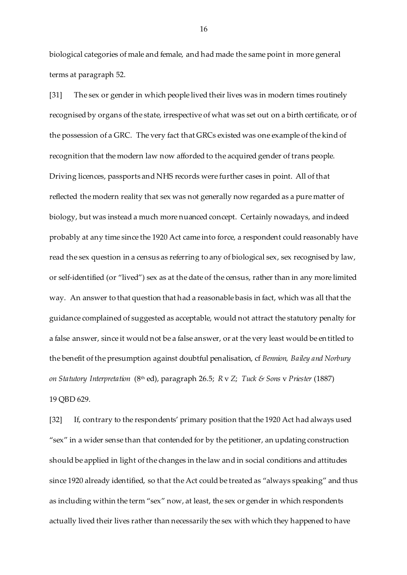biological categories of male and female, and had made the same point in more general terms at paragraph 52.

[31] The sex or gender in which people lived their lives was in modern times routinely recognised by organs of the state, irrespective of what was set out on a birth certificate, or of the possession of a GRC. The very fact that GRCs existed was one example of the kind of recognition that the modern law now afforded to the acquired gender of trans people. Driving licences, passports and NHS records were further cases in point. All of that reflected the modern reality that sex was not generally now regarded as a pure matter of biology, but was instead a much more nuanced concept. Certainly nowadays, and indeed probably at any time since the 1920 Act came into force, a respondent could reasonably have read the sex question in a census as referring to any of biological sex, sex recognised by law, or self-identified (or "lived") sex as at the date of the census, rather than in any more limited way. An answer to that question that had a reasonable basis in fact, which was all that the guidance complained of suggested as acceptable, would not attract the statutory penalty for a false answer, since it would not be a false answer, or at the very least would be entitled to the benefit of the presumption against doubtful penalisation, cf *Bennion, Bailey and Norbury on Statutory Interpretation* (8th ed), paragraph 26.5; *R* v *Z*; *Tuck & Sons* v *Priester* (1887) 19 QBD 629.

[32] If, contrary to the respondents' primary position that the 1920 Act had always used "sex" in a wider sense than that contended for by the petitioner, an updating construction should be applied in light of the changes in the law and in social conditions and attitudes since 1920 already identified, so that the Act could be treated as "always speaking" and thus as including within the term "sex" now, at least, the sex or gender in which respondents actually lived their lives rather than necessarily the sex with which they happened to have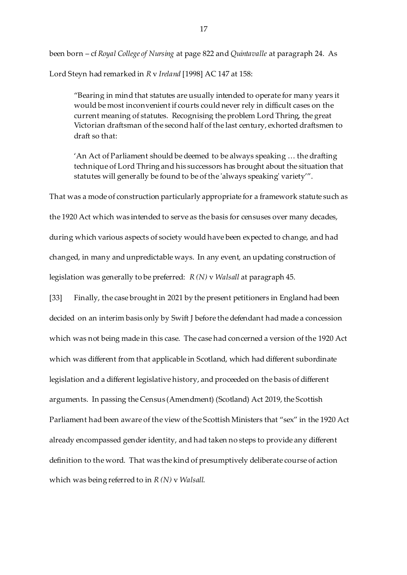been born – cf *Royal College of Nursing* at page 822 and *Quintavalle* at paragraph 24. As Lord Steyn had remarked in *R* v *Ireland* [1998] AC 147 at 158:

"Bearing in mind that statutes are usually intended to operate for many years it would be most inconvenient if courts could never rely in difficult cases on the current meaning of statutes. Recognising the problem Lord Thring, the great Victorian draftsman of the second half of the last century, exhorted draftsmen to draft so that:

'An Act of Parliament should be deemed to be always speaking … the drafting technique of Lord Thring and his successors has brought about the situation that statutes will generally be found to be of the 'always speaking' variety'".

That was a mode of construction particularly appropriate for a framework statute such as

the 1920 Act which was intended to serve as the basis for censuses over many decades,

during which various aspects of society would have been expected to change, and had changed, in many and unpredictable ways. In any event, an updating construction of legislation was generally to be preferred: *R (N)* v *Walsall* at paragraph 45.

[33] Finally, the case brought in 2021 by the present petitioners in England had been decided on an interim basis only by Swift J before the defendant had made a concession which was not being made in this case. The case had concerned a version of the 1920 Act which was different from that applicable in Scotland, which had different subordinate legislation and a different legislative history, and proceeded on the basis of different arguments. In passing the Census (Amendment) (Scotland) Act 2019, the Scottish Parliament had been aware of the view of the Scottish Ministers that "sex" in the 1920 Act already encompassed gender identity, and had taken no steps to provide any different definition to the word. That was the kind of presumptively deliberate course of action which was being referred to in *R (N)* v *Walsall*.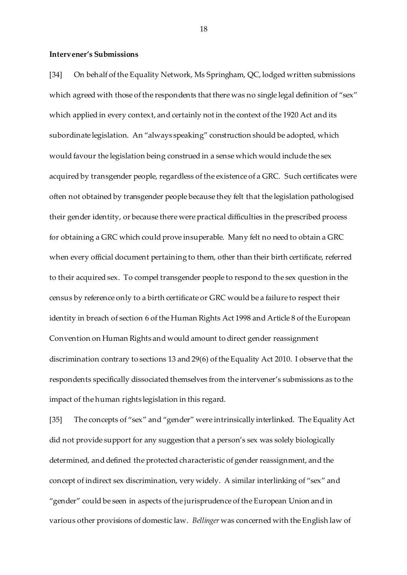#### **Intervener's Submissions**

[34] On behalf of the Equality Network, Ms Springham, QC, lodged written submissions which agreed with those of the respondents that there was no single legal definition of "sex" which applied in every context, and certainly not in the context of the 1920 Act and its subordinate legislation. An "always speaking" construction should be adopted, which would favour the legislation being construed in a sense which would include the sex acquired by transgender people, regardless of the existence of a GRC. Such certificates were often not obtained by transgender people because they felt that the legislation pathologised their gender identity, or because there were practical difficulties in the prescribed process for obtaining a GRC which could prove insuperable. Many felt no need to obtain a GRC when every official document pertaining to them, other than their birth certificate, referred to their acquired sex. To compel transgender people to respond to the sex question in the census by reference only to a birth certificate or GRC would be a failure to respect their identity in breach of section 6 of the Human Rights Act 1998 and Article 8 of the European Convention on Human Rights and would amount to direct gender reassignment discrimination contrary to sections 13 and 29(6) of the Equality Act 2010. I observe that the respondents specifically dissociated themselves from the intervener's submissions as to the impact of the human rights legislation in this regard.

[35] The concepts of "sex" and "gender" were intrinsically interlinked. The Equality Act did not provide support for any suggestion that a person's sex was solely biologically determined, and defined the protected characteristic of gender reassignment, and the concept of indirect sex discrimination, very widely. A similar interlinking of "sex" and "gender" could be seen in aspects of the jurisprudence of the European Union and in various other provisions of domestic law. *Bellinger* was concerned with the English law of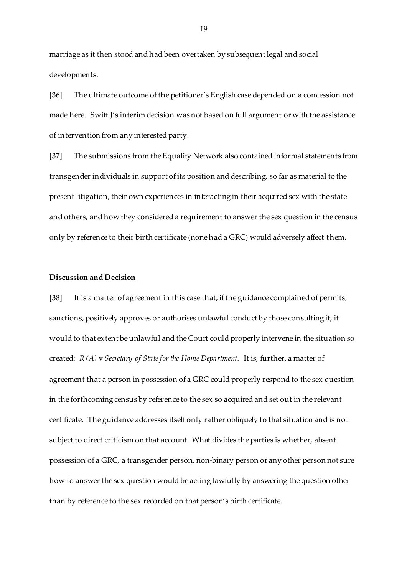marriage as it then stood and had been overtaken by subsequent legal and social developments.

[36] The ultimate outcome of the petitioner's English case depended on a concession not made here. Swift J's interim decision was not based on full argument or with the assistance of intervention from any interested party.

[37] The submissions from the Equality Network also contained informal statements from transgender individuals in support of its position and describing, so far as material to the present litigation, their own experiences in interacting in their acquired sex with the state and others, and how they considered a requirement to answer the sex question in the census only by reference to their birth certificate (none had a GRC) would adversely affect them.

#### **Discussion and Decision**

[38] It is a matter of agreement in this case that, if the guidance complained of permits, sanctions, positively approves or authorises unlawful conduct by those consulting it, it would to that extent be unlawful and the Court could properly intervene in the situation so created: *R (A)* v *Secretary of State for the Home Department*. It is, further, a matter of agreement that a person in possession of a GRC could properly respond to the sex question in the forthcoming census by reference to the sex so acquired and set out in the relevant certificate. The guidance addresses itself only rather obliquely to that situation and is not subject to direct criticism on that account. What divides the parties is whether, absent possession of a GRC, a transgender person, non-binary person or any other person not sure how to answer the sex question would be acting lawfully by answering the question other than by reference to the sex recorded on that person's birth certificate.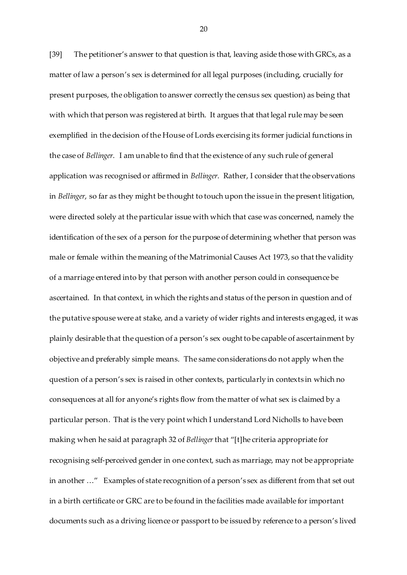[39] The petitioner's answer to that question is that, leaving aside those with GRCs, as a matter of law a person's sex is determined for all legal purposes (including, crucially for present purposes, the obligation to answer correctly the census sex question) as being that with which that person was registered at birth. It argues that that legal rule may be seen exemplified in the decision of the House of Lords exercising its former judicial functions in the case of *Bellinger*. I am unable to find that the existence of any such rule of general application was recognised or affirmed in *Bellinger*. Rather, I consider that the observations in *Bellinger*, so far as they might be thought to touch upon the issue in the present litigation, were directed solely at the particular issue with which that case was concerned, namely the identification of the sex of a person for the purpose of determining whether that person was male or female within the meaning of the Matrimonial Causes Act 1973, so that the validity of a marriage entered into by that person with another person could in consequence be ascertained. In that context, in which the rights and status of the person in question and of the putative spouse were at stake, and a variety of wider rights and interests engaged, it was plainly desirable that the question of a person's sex ought to be capable of ascertainment by objective and preferably simple means. The same considerations do not apply when the question of a person's sex is raised in other contexts, particularly in contexts in which no consequences at all for anyone's rights flow from the matter of what sex is claimed by a particular person. That is the very point which I understand Lord Nicholls to have been making when he said at paragraph 32 of *Bellinger*that "[t]he criteria appropriate for recognising self-perceived gender in one context, such as marriage, may not be appropriate in another …" Examples of state recognition of a person's sex as different from that set out in a birth certificate or GRC are to be found in the facilities made available for important documents such as a driving licence or passport to be issued by reference to a person's lived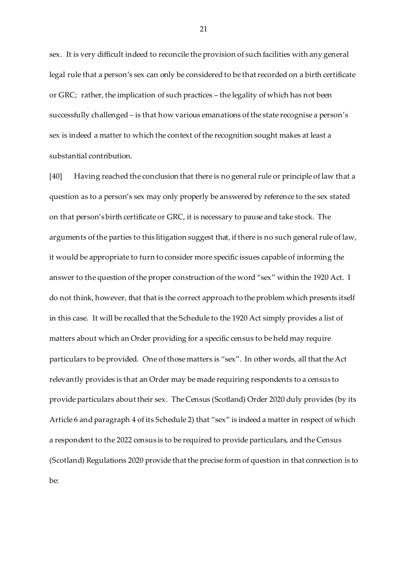sex. It is very difficult indeed to reconcile the provision of such facilities with any general legal rule that a person's sex can only be considered to be that recorded on a birth certificate or GRC; rather, the implication of such practices – the legality of which has not been successfully challenged – is that how various emanations of the state recognise a person's sex is indeed a matter to which the context of the recognition sought makes at least a substantial contribution.

[40] Having reached the conclusion that there is no general rule or principle of law that a question as to a person's sex may only properly be answered by reference to the sex stated on that person's birth certificate or GRC, it is necessary to pause and take stock. The arguments of the parties to this litigation suggest that, if there is no such general rule of law, it would be appropriate to turn to consider more specific issues capable of informing the answer to the question of the proper construction of the word "sex" within the 1920 Act. I do not think, however, that that is the correct approach to the problem which presents itself in this case. It will be recalled that the Schedule to the 1920 Act simply provides a list of matters about which an Order providing for a specific census to be held may require particulars to be provided. One of those matters is "sex". In other words, all that the Act relevantly provides is that an Order may be made requiring respondents to a census to provide particulars about their sex. The Census (Scotland) Order 2020 duly provides (by its Article 6 and paragraph 4 of its Schedule 2) that "sex" is indeed a matter in respect of which a respondent to the 2022 census is to be required to provide particulars, and the Census (Scotland) Regulations 2020 provide that the precise form of question in that connection is to be: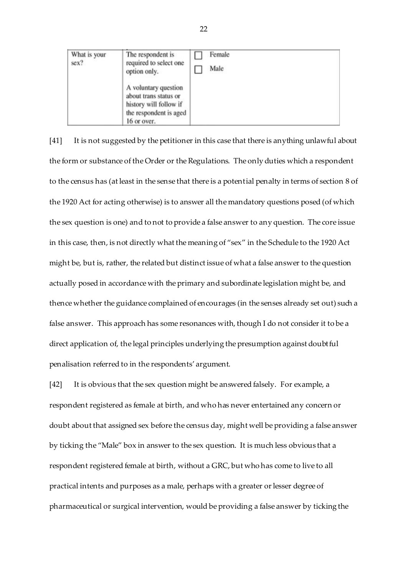| What is your<br>sex? | The respondent is<br>required to select one<br>option only.                                                      | Female<br>Male |  |
|----------------------|------------------------------------------------------------------------------------------------------------------|----------------|--|
|                      | A voluntary question<br>about trans status or<br>history will follow if<br>the respondent is aged<br>16 or over. |                |  |

[41] It is not suggested by the petitioner in this case that there is anything unlawful about the form or substance of the Order or the Regulations. The only duties which a respondent to the census has (at least in the sense that there is a potential penalty in terms of section 8 of the 1920 Act for acting otherwise) is to answer all the mandatory questions posed (of which the sex question is one) and to not to provide a false answer to any question. The core issue in this case, then, is not directly what the meaning of "sex" in the Schedule to the 1920 Act might be, but is, rather, the related but distinct issue of what a false answer to the question actually posed in accordance with the primary and subordinate legislation might be, and thence whether the guidance complained of encourages (in the senses already set out) such a false answer. This approach has some resonances with, though I do not consider it to be a direct application of, the legal principles underlying the presumption against doubtful penalisation referred to in the respondents' argument.

[42] It is obvious that the sex question might be answered falsely. For example, a respondent registered as female at birth, and who has never entertained any concern or doubt about that assigned sex before the census day, might well be providing a false answer by ticking the "Male" box in answer to the sex question. It is much less obvious that a respondent registered female at birth, without a GRC, but who has come to live to all practical intents and purposes as a male, perhaps with a greater or lesser degree of pharmaceutical or surgical intervention, would be providing a false answer by ticking the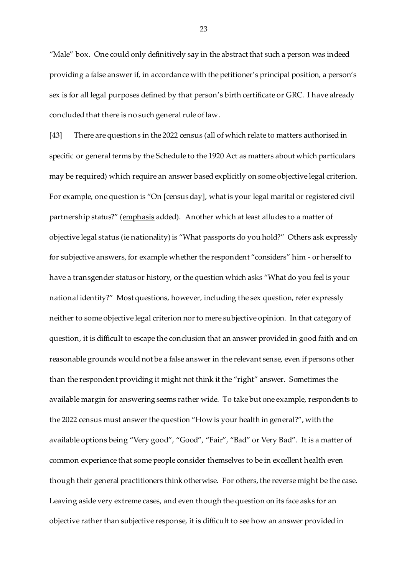"Male" box. One could only definitively say in the abstract that such a person was indeed providing a false answer if, in accordance with the petitioner's principal position, a person's sex is for all legal purposes defined by that person's birth certificate or GRC. I have already concluded that there is no such general rule of law.

[43] There are questions in the 2022 census (all of which relate to matters authorised in specific or general terms by the Schedule to the 1920 Act as matters about which particulars may be required) which require an answer based explicitly on some objective legal criterion. For example, one question is "On [census day], what is your <u>legal</u> marital or registered civil partnership status?" (emphasis added). Another which at least alludes to a matter of objective legal status (ie nationality) is "What passports do you hold?" Others ask expressly for subjective answers, for example whether the respondent "considers" him - or herself to have a transgender status or history, or the question which asks "What do you feel is your national identity?" Most questions, however, including the sex question, refer expressly neither to some objective legal criterion nor to mere subjective opinion. In that category of question, it is difficult to escape the conclusion that an answer provided in good faith and on reasonable grounds would not be a false answer in the relevant sense, even if persons other than the respondent providing it might not think it the "right" answer. Sometimes the available margin for answering seems rather wide. To take but one example, respondents to the 2022 census must answer the question "How is your health in general?", with the available options being "Very good", "Good", "Fair", "Bad" or Very Bad". It is a matter of common experience that some people consider themselves to be in excellent health even though their general practitioners think otherwise. For others, the reverse might be the case. Leaving aside very extreme cases, and even though the question on its face asks for an objective rather than subjective response, it is difficult to see how an answer provided in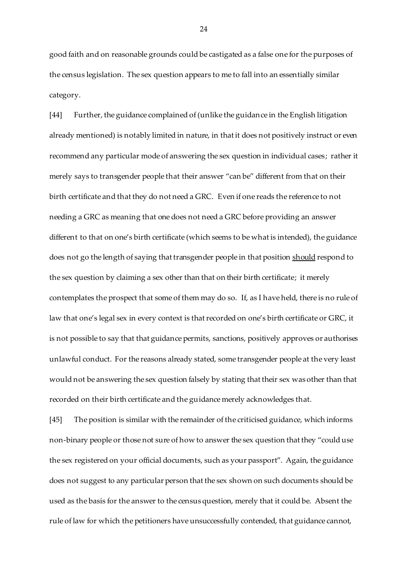good faith and on reasonable grounds could be castigated as a false one for the purposes of the census legislation. The sex question appears to me to fall into an essentially similar category.

[44] Further, the guidance complained of (unlike the guidance in the English litigation already mentioned) is notably limited in nature, in that it does not positively instruct or even recommend any particular mode of answering the sex question in individual cases; rather it merely says to transgender people that their answer "can be" different from that on their birth certificate and that they do not need a GRC. Even if one reads the reference to not needing a GRC as meaning that one does not need a GRC before providing an answer different to that on one's birth certificate (which seems to be what is intended), the guidance does not go the length of saying that transgender people in that position should respond to the sex question by claiming a sex other than that on their birth certificate; it merely contemplates the prospect that some of them may do so. If, as I have held, there is no rule of law that one's legal sex in every context is that recorded on one's birth certificate or GRC, it is not possible to say that that guidance permits, sanctions, positively approves or authorises unlawful conduct. For the reasons already stated, some transgender people at the very least would not be answering the sex question falsely by stating that their sex was other than that recorded on their birth certificate and the guidance merely acknowledges that.

[45] The position is similar with the remainder of the criticised guidance, which informs non-binary people or those not sure of how to answer the sex question that they "could use the sex registered on your official documents, such as your passport". Again, the guidance does not suggest to any particular person that the sex shown on such documents should be used as the basis for the answer to the census question, merely that it could be. Absent the rule of law for which the petitioners have unsuccessfully contended, that guidance cannot,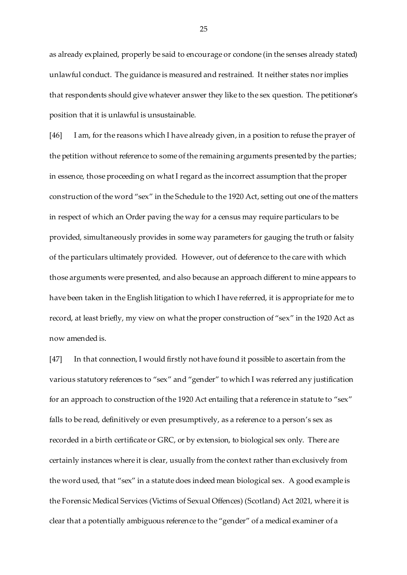as already explained, properly be said to encourage or condone (in the senses already stated) unlawful conduct. The guidance is measured and restrained. It neither states nor implies that respondents should give whatever answer they like to the sex question. The petitioner's position that it is unlawful is unsustainable.

[46] I am, for the reasons which I have already given, in a position to refuse the prayer of the petition without reference to some of the remaining arguments presented by the parties; in essence, those proceeding on what I regard as the incorrect assumption that the proper construction of the word "sex" in the Schedule to the 1920 Act, setting out one of the matters in respect of which an Order paving the way for a census may require particulars to be provided, simultaneously provides in some way parameters for gauging the truth or falsity of the particulars ultimately provided. However, out of deference to the care with which those arguments were presented, and also because an approach different to mine appears to have been taken in the English litigation to which I have referred, it is appropriate for me to record, at least briefly, my view on what the proper construction of "sex" in the 1920 Act as now amended is.

[47] In that connection, I would firstly not have found it possible to ascertain from the various statutory references to "sex" and "gender" to which I was referred any justification for an approach to construction of the 1920 Act entailing that a reference in statute to "sex" falls to be read, definitively or even presumptively, as a reference to a person's sex as recorded in a birth certificate or GRC, or by extension, to biological sex only. There are certainly instances where it is clear, usually from the context rather than exclusively from the word used, that "sex" in a statute does indeed mean biological sex. A good example is the Forensic Medical Services (Victims of Sexual Offences) (Scotland) Act 2021, where it is clear that a potentially ambiguous reference to the "gender" of a medical examiner of a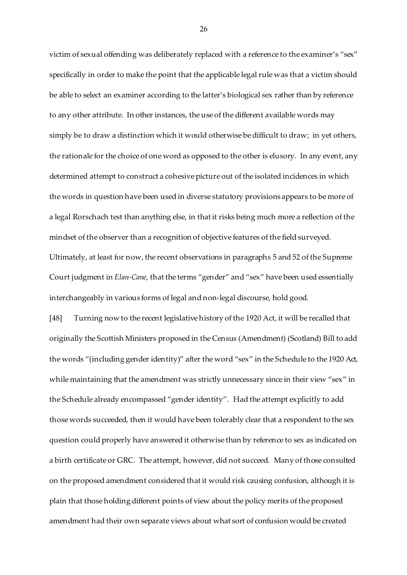victim of sexual offending was deliberately replaced with a reference to the examiner's "sex" specifically in order to make the point that the applicable legal rule was that a victim should be able to select an examiner according to the latter's biological sex rather than by reference to any other attribute. In other instances, the use of the different available words may simply be to draw a distinction which it would otherwise be difficult to draw; in yet others, the rationale for the choice of one word as opposed to the other is elusory. In any event, any determined attempt to construct a cohesive picture out of the isolated incidences in which the words in question have been used in diverse statutory provisions appears to be more of a legal Rorschach test than anything else, in that it risks being much more a reflection of the mindset of the observer than a recognition of objective features of the field surveyed. Ultimately, at least for now, the recent observations in paragraphs 5 and 52 of the Supreme Court judgment in *Elan-Cane*, that the terms "gender" and "sex" have been used essentially interchangeably in various forms of legal and non-legal discourse, hold good.

[48] Turning now to the recent legislative history of the 1920 Act, it will be recalled that originally the Scottish Ministers proposed in the Census (Amendment) (Scotland) Bill to add the words "(including gender identity)" after the word "sex" in the Schedule to the 1920 Act, while maintaining that the amendment was strictly unnecessary since in their view "sex" in the Schedule already encompassed "gender identity". Had the attempt explicitly to add those words succeeded, then it would have been tolerably clear that a respondent to the sex question could properly have answered it otherwise than by reference to sex as indicated on a birth certificate or GRC. The attempt, however, did not succeed. Many of those consulted on the proposed amendment considered that it would risk causing confusion, although it is plain that those holding different points of view about the policy merits of the proposed amendment had their own separate views about what sort of confusion would be created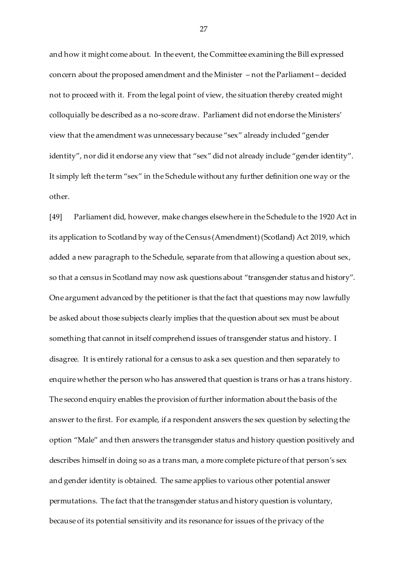and how it might come about. In the event, the Committee examining the Bill expressed concern about the proposed amendment and the Minister – not the Parliament – decided not to proceed with it. From the legal point of view, the situation thereby created might colloquially be described as a no-score draw. Parliament did not endorse the Ministers' view that the amendment was unnecessary because "sex" already included "gender identity", nor did it endorse any view that "sex" did not already include "gender identity". It simply left the term "sex" in the Schedule without any further definition one way or the other.

[49] Parliament did, however, make changes elsewhere in the Schedule to the 1920 Act in its application to Scotland by way of the Census (Amendment) (Scotland) Act 2019, which added a new paragraph to the Schedule, separate from that allowing a question about sex, so that a census in Scotland may now ask questions about "transgender status and history". One argument advanced by the petitioner is that the fact that questions may now lawfully be asked about those subjects clearly implies that the question about sex must be about something that cannot in itself comprehend issues of transgender status and history. I disagree. It is entirely rational for a census to ask a sex question and then separately to enquire whether the person who has answered that question is trans or has a trans history. The second enquiry enables the provision of further information about the basis of the answer to the first. For example, if a respondent answers the sex question by selecting the option "Male" and then answers the transgender status and history question positively and describes himself in doing so as a trans man, a more complete picture of that person's sex and gender identity is obtained. The same applies to various other potential answer permutations. The fact that the transgender status and history question is voluntary, because of its potential sensitivity and its resonance for issues of the privacy of the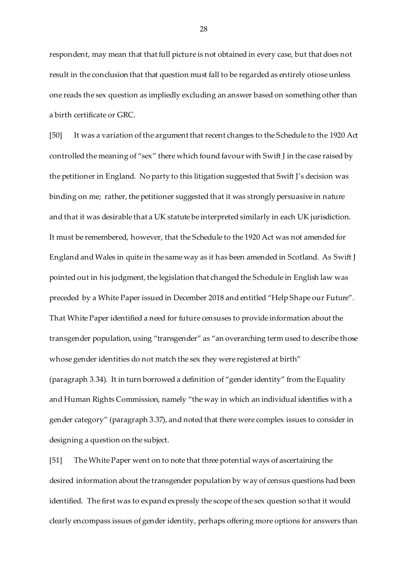respondent, may mean that that full picture is not obtained in every case, but that does not result in the conclusion that that question must fall to be regarded as entirely otiose unless one reads the sex question as impliedly excluding an answer based on something other than a birth certificate or GRC.

[50] It was a variation of the argument that recent changes to the Schedule to the 1920 Act controlled the meaning of "sex" there which found favour with Swift J in the case raised by the petitioner in England. No party to this litigation suggested that Swift J's decision was binding on me; rather, the petitioner suggested that it was strongly persuasive in nature and that it was desirable that a UK statute be interpreted similarly in each UK jurisdiction. It must be remembered, however, that the Schedule to the 1920 Act was not amended for England and Wales in quite in the same way as it has been amended in Scotland. As Swift J pointed out in his judgment, the legislation that changed the Schedule in English law was preceded by a White Paper issued in December 2018 and entitled "Help Shape our Future". That White Paper identified a need for future censuses to provide information about the transgender population, using "transgender" as "an overarching term used to describe those whose gender identities do not match the sex they were registered at birth" (paragraph 3.34). It in turn borrowed a definition of "gender identity" from the Equality and Human Rights Commission, namely "the way in which an individual identifies with a gender category" (paragraph 3.37), and noted that there were complex issues to consider in designing a question on the subject.

[51] The White Paper went on to note that three potential ways of ascertaining the desired information about the transgender population by way of census questions had been identified. The first was to expand expressly the scope of the sex question so that it would clearly encompass issues of gender identity, perhaps offering more options for answers than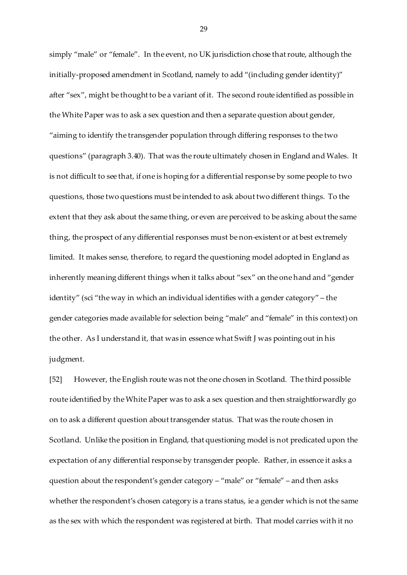simply "male" or "female". In the event, no UK jurisdiction chose that route, although the initially-proposed amendment in Scotland, namely to add "(including gender identity)" after "sex", might be thought to be a variant of it. The second route identified as possible in the White Paper was to ask a sex question and then a separate question about gender, "aiming to identify the transgender population through differing responses to the two questions" (paragraph 3.40). That was the route ultimately chosen in England and Wales. It is not difficult to see that, if one is hoping for a differential response by some people to two questions, those two questions must be intended to ask about two different things. To the extent that they ask about the same thing, or even are perceived to be asking about the same thing, the prospect of any differential responses must be non-existent or at best extremely limited. It makes sense, therefore, to regard the questioning model adopted in England as inherently meaning different things when it talks about "sex" on the one hand and "gender identity" (sci "the way in which an individual identifies with a gender category" – the gender categories made available for selection being "male" and "female" in this context) on the other. As I understand it, that was in essence what Swift J was pointing out in his judgment.

[52] However, the English route was not the one chosen in Scotland. The third possible route identified by the White Paper was to ask a sex question and then straightforwardly go on to ask a different question about transgender status. That was the route chosen in Scotland. Unlike the position in England, that questioning model is not predicated upon the expectation of any differential response by transgender people. Rather, in essence it asks a question about the respondent's gender category – "male" or "female" – and then asks whether the respondent's chosen category is a trans status, ie a gender which is not the same as the sex with which the respondent was registered at birth. That model carries with it no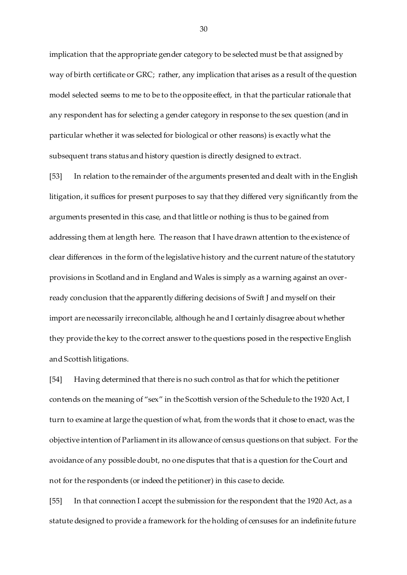implication that the appropriate gender category to be selected must be that assigned by way of birth certificate or GRC; rather, any implication that arises as a result of the question model selected seems to me to be to the opposite effect, in that the particular rationale that any respondent has for selecting a gender category in response to the sex question (and in particular whether it was selected for biological or other reasons) is exactly what the subsequent trans status and history question is directly designed to extract.

[53] In relation to the remainder of the arguments presented and dealt with in the English litigation, it suffices for present purposes to say that they differed very significantly from the arguments presented in this case, and that little or nothing is thus to be gained from addressing them at length here. The reason that I have drawn attention to the existence of clear differences in the form of the legislative history and the current nature of the statutory provisions in Scotland and in England and Wales is simply as a warning against an overready conclusion that the apparently differing decisions of Swift J and myself on their import are necessarily irreconcilable, although he and I certainly disagree about whether they provide the key to the correct answer to the questions posed in the respective English and Scottish litigations.

[54] Having determined that there is no such control as that for which the petitioner contends on the meaning of "sex" in the Scottish version of the Schedule to the 1920 Act, I turn to examine at large the question of what, from the words that it chose to enact, was the objective intention of Parliament in its allowance of census questions on that subject. For the avoidance of any possible doubt, no one disputes that that is a question for the Court and not for the respondents (or indeed the petitioner) in this case to decide.

[55] In that connection I accept the submission for the respondent that the 1920 Act, as a statute designed to provide a framework for the holding of censuses for an indefinite future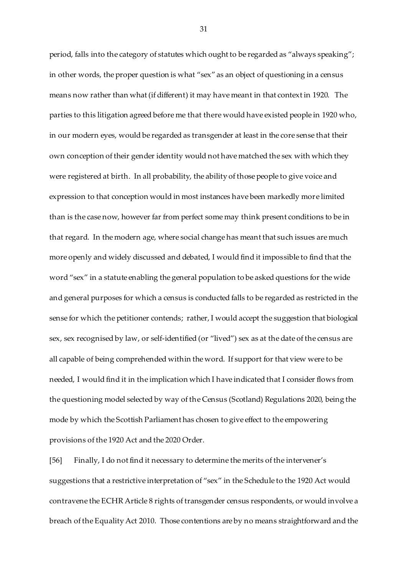period, falls into the category of statutes which ought to be regarded as "always speaking"; in other words, the proper question is what "sex" as an object of questioning in a census means now rather than what (if different) it may have meant in that context in 1920. The parties to this litigation agreed before me that there would have existed people in 1920 who, in our modern eyes, would be regarded as transgender at least in the core sense that their own conception of their gender identity would not have matched the sex with which they were registered at birth. In all probability, the ability of those people to give voice and expression to that conception would in most instances have been markedly more limited than is the case now, however far from perfect some may think present conditions to be in that regard. In the modern age, where social change has meant that such issues are much more openly and widely discussed and debated, I would find it impossible to find that the word "sex" in a statute enabling the general population to be asked questions for the wide and general purposes for which a census is conducted falls to be regarded as restricted in the sense for which the petitioner contends; rather, I would accept the suggestion that biological sex, sex recognised by law, or self-identified (or "lived") sex as at the date of the census are all capable of being comprehended within the word. If support for that view were to be needed, I would find it in the implication which I have indicated that I consider flows from the questioning model selected by way of the Census (Scotland) Regulations 2020, being the mode by which the Scottish Parliament has chosen to give effect to the empowering provisions of the 1920 Act and the 2020 Order.

[56] Finally, I do not find it necessary to determine the merits of the intervener's suggestions that a restrictive interpretation of "sex" in the Schedule to the 1920 Act would contravene the ECHR Article 8 rights of transgender census respondents, or would involve a breach of the Equality Act 2010. Those contentions are by no means straightforward and the